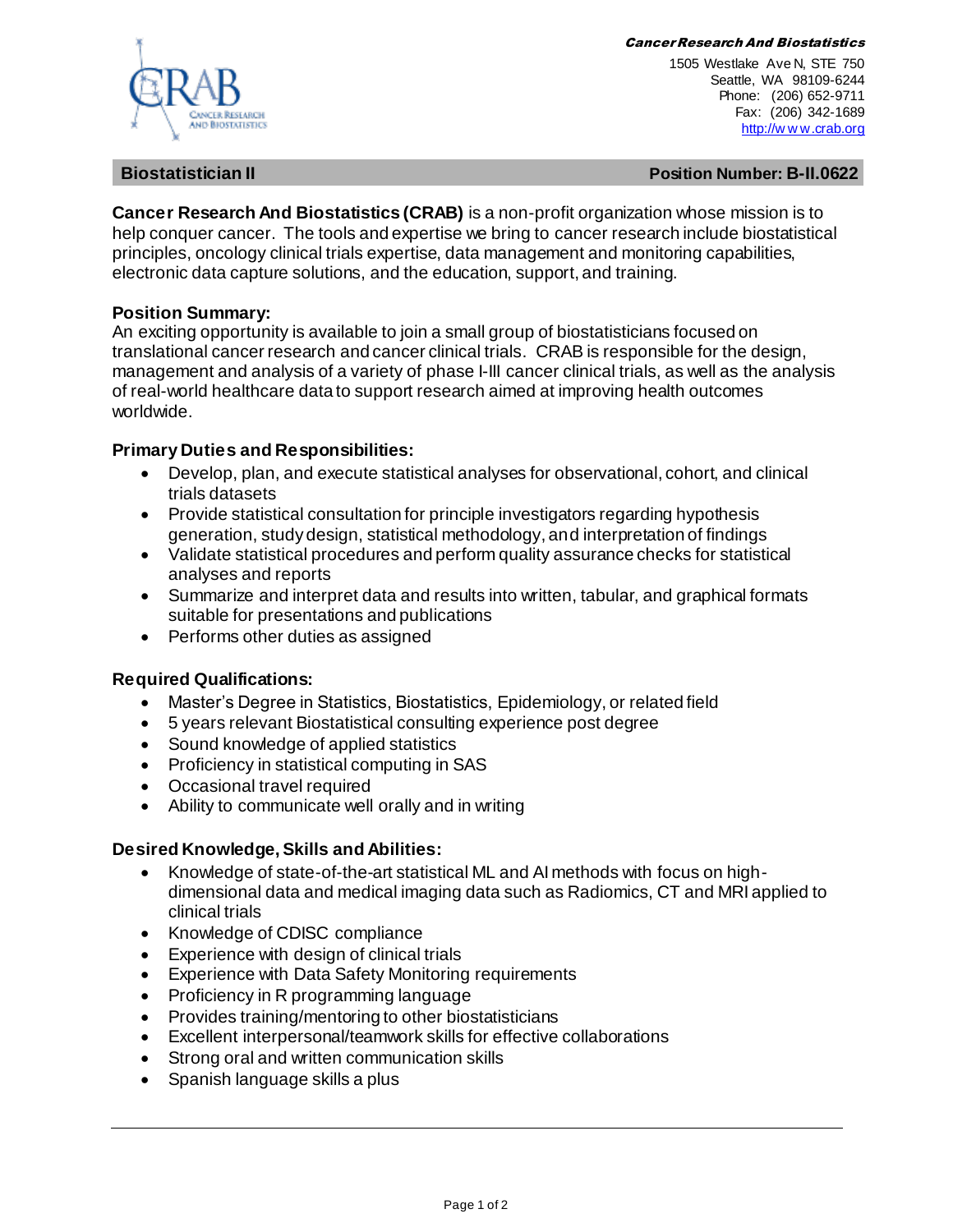#### Cancer Research And Biostatistics



1505 Westlake Ave N, STE 750 Seattle, WA 98109-6244 Phone: (206) 652-9711 Fax: (206) 342-1689 [http://w w w.crab.org](http://www.crab.org/)

**Biostatistician II Position Number: B-II.0622**

**Cancer Research And Biostatistics (CRAB)** is a non-profit organization whose mission is to help conquer cancer. The tools and expertise we bring to cancer research include biostatistical principles, oncology clinical trials expertise, data management and monitoring capabilities, electronic data capture solutions, and the education, support, and training.

# **Position Summary:**

An exciting opportunity is available to join a small group of biostatisticians focused on translational cancer research and cancer clinical trials. CRAB is responsible for the design, management and analysis of a variety of phase I-III cancer clinical trials, as well as the analysis of real-world healthcare data to support research aimed at improving health outcomes worldwide.

# **Primary Duties and Responsibilities:**

- Develop, plan, and execute statistical analyses for observational, cohort, and clinical trials datasets
- Provide statistical consultation for principle investigators regarding hypothesis generation, study design, statistical methodology, and interpretation of findings
- Validate statistical procedures and perform quality assurance checks for statistical analyses and reports
- Summarize and interpret data and results into written, tabular, and graphical formats suitable for presentations and publications
- Performs other duties as assigned

# **Required Qualifications:**

- Master's Degree in Statistics, Biostatistics, Epidemiology, or related field
- 5 years relevant Biostatistical consulting experience post degree
- Sound knowledge of applied statistics
- Proficiency in statistical computing in SAS
- Occasional travel required
- Ability to communicate well orally and in writing

# **Desired Knowledge, Skills and Abilities:**

- Knowledge of state-of-the-art statistical ML and AI methods with focus on highdimensional data and medical imaging data such as Radiomics, CT and MRI applied to clinical trials
- Knowledge of CDISC compliance
- Experience with design of clinical trials
- Experience with Data Safety Monitoring requirements
- Proficiency in R programming language
- Provides training/mentoring to other biostatisticians
- Excellent interpersonal/teamwork skills for effective collaborations
- Strong oral and written communication skills
- Spanish language skills a plus